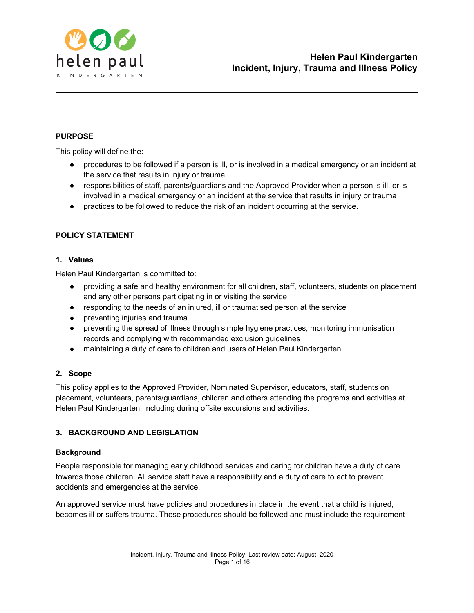

### **PURPOSE**

This policy will define the:

- procedures to be followed if a person is ill, or is involved in a medical emergency or an incident at the service that results in injury or trauma
- responsibilities of staff, parents/guardians and the Approved Provider when a person is ill, or is involved in a medical emergency or an incident at the service that results in injury or trauma
- practices to be followed to reduce the risk of an incident occurring at the service.

### **POLICY STATEMENT**

#### **1. Values**

Helen Paul Kindergarten is committed to:

- providing a safe and healthy environment for all children, staff, volunteers, students on placement and any other persons participating in or visiting the service
- responding to the needs of an injured, ill or traumatised person at the service
- preventing injuries and trauma
- preventing the spread of illness through simple hygiene practices, monitoring immunisation records and complying with recommended exclusion guidelines
- maintaining a duty of care to children and users of Helen Paul Kindergarten.

#### **2. Scope**

This policy applies to the Approved Provider, Nominated Supervisor, educators, staff, students on placement, volunteers, parents/guardians, children and others attending the programs and activities at Helen Paul Kindergarten, including during offsite excursions and activities.

# **3. BACKGROUND AND LEGISLATION**

#### **Background**

People responsible for managing early childhood services and caring for children have a duty of care towards those children. All service staff have a responsibility and a duty of care to act to prevent accidents and emergencies at the service.

An approved service must have policies and procedures in place in the event that a child is injured, becomes ill or suffers trauma. These procedures should be followed and must include the requirement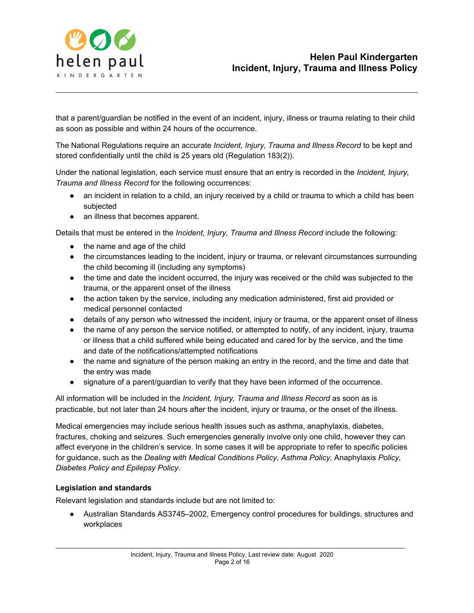

that a parent/guardian be notified in the event of an incident, injury, illness or trauma relating to their child as soon as possible and within 24 hours of the occurrence.

The National Regulations require an accurate *Incident, Injury, Trauma and Illness Record* to be kept and stored confidentially until the child is 25 years old (Regulation 183(2)).

Under the national legislation, each service must ensure that an entry is recorded in the *Incident, Injury, Trauma and Illness Record* for the following occurrences:

- an incident in relation to a child, an injury received by a child or trauma to which a child has been subjected
- an illness that becomes apparent.

Details that must be entered in the *Incident, Injury, Trauma and Illness Record* include the following:

- the name and age of the child
- the circumstances leading to the incident, injury or trauma, or relevant circumstances surrounding the child becoming ill (including any symptoms)
- the time and date the incident occurred, the injury was received or the child was subjected to the trauma, or the apparent onset of the illness
- the action taken by the service, including any medication administered, first aid provided or medical personnel contacted
- details of any person who witnessed the incident, injury or trauma, or the apparent onset of illness
- the name of any person the service notified, or attempted to notify, of any incident, injury, trauma or illness that a child suffered while being educated and cared for by the service, and the time and date of the notifications/attempted notifications
- the name and signature of the person making an entry in the record, and the time and date that the entry was made
- signature of a parent/guardian to verify that they have been informed of the occurrence.

All information will be included in the *Incident, Injury, Trauma and Illness Record* as soon as is practicable, but not later than 24 hours after the incident, injury or trauma, or the onset of the illness.

Medical emergencies may include serious health issues such as asthma, anaphylaxis, diabetes, fractures, choking and seizures. Such emergencies generally involve only one child, however they can affect everyone in the children's service. In some cases it will be appropriate to refer to specific policies for guidance, such as the *Dealing with Medical Conditions Policy*, *Asthma Policy,* Anaphylaxis *Policy, Diabetes Policy and Epilepsy Policy*.

# **Legislation and standards**

Relevant legislation and standards include but are not limited to:

● Australian Standards AS3745–2002, Emergency control procedures for buildings, structures and workplaces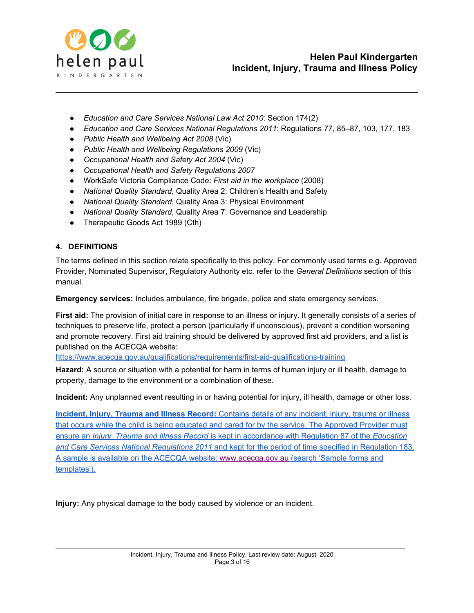

- *Education and Care Services National Law Act 2010*: Section 174(2)
- *Education and Care Services National Regulations 2011*: Regulations 77, 85–87, 103, 177, 183
- *Public Health and Wellbeing Act 2008* (Vic)
- *Public Health and Wellbeing Regulations 2009* (Vic)
- *Occupational Health and Safety Act 2004* (Vic)
- *Occupational Health and Safety Regulations 2007*
- WorkSafe Victoria Compliance Code: *First aid in the workplace* (2008)
- *National Quality Standard*, Quality Area 2: Children's Health and Safety
- *National Quality Standard*, Quality Area 3: Physical Environment
- *National Quality Standard*, Quality Area 7: Governance and Leadership
- Therapeutic Goods Act 1989 (Cth)

#### **4. DEFINITIONS**

The terms defined in this section relate specifically to this policy. For commonly used terms e.g. Approved Provider, Nominated Supervisor, Regulatory Authority etc. refer to the *General Definitions* section of this manual.

**Emergency services:** Includes ambulance, fire brigade, police and state emergency services.

**First aid:** The provision of initial care in response to an illness or injury. It generally consists of a series of techniques to preserve life, protect a person (particularly if unconscious), prevent a condition worsening and promote recovery. First aid training should be delivered by approved first aid providers, and a list is published on the ACECQA website:

<https://www.acecqa.gov.au/qualifications/requirements/first-aid-qualifications-training>

**Hazard:** A source or situation with a potential for harm in terms of human injury or ill health, damage to property, damage to the environment or a combination of these.

**Incident:** Any unplanned event resulting in or having potential for injury, ill health, damage or other loss.

**Incident, Injury, Trauma and Illness Record:** Contains details of any incident, injury, trauma or illness that occurs while the child is being educated and cared for by the service. The Approved Provider must ensure an *Injury, Trauma and Illness Record* is kept in accordance with Regulation 87 of the *Education and Care Services National Regulations 2011* and kept for the period of time specified in Regulation 183. A sample is available on the ACECQA website: [www.acecqa.gov.au](http://www.acecqa.gov.au/) (search 'Sample forms and templates').

**Injury:** Any physical damage to the body caused by violence or an incident.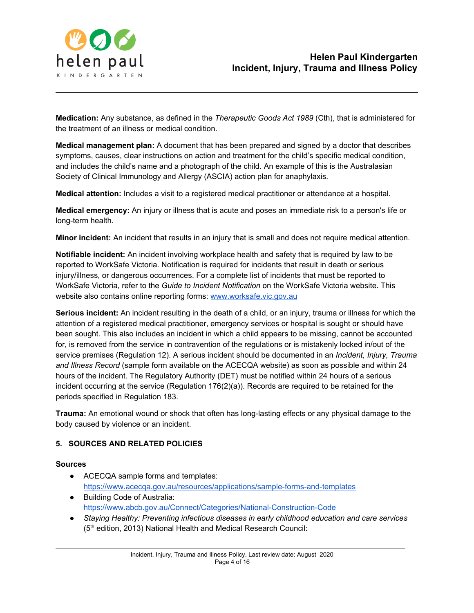

**Medication:** Any substance, as defined in the *Therapeutic Goods Act 1989* (Cth), that is administered for the treatment of an illness or medical condition.

**Medical management plan:** A document that has been prepared and signed by a doctor that describes symptoms, causes, clear instructions on action and treatment for the child's specific medical condition, and includes the child's name and a photograph of the child. An example of this is the Australasian Society of Clinical Immunology and Allergy (ASCIA) action plan for anaphylaxis.

**Medical attention:** Includes a visit to a registered medical practitioner or attendance at a hospital.

**Medical emergency:** An injury or illness that is acute and poses an immediate risk to a person's life or long-term health.

**Minor incident:** An incident that results in an injury that is small and does not require medical attention.

**Notifiable incident:** An incident involving workplace health and safety that is required by law to be reported to WorkSafe Victoria. Notification is required for incidents that result in death or serious injury/illness, or dangerous occurrences. For a complete list of incidents that must be reported to WorkSafe Victoria, refer to the *Guide to Incident Notification* on the WorkSafe Victoria website. This website also contains online reporting forms[:](http://www.worksafe.vic.gov.au/) [www.worksafe.vic.gov.au](http://www.worksafe.vic.gov.au/)

**Serious incident:** An incident resulting in the death of a child, or an injury, trauma or illness for which the attention of a registered medical practitioner, emergency services or hospital is sought or should have been sought. This also includes an incident in which a child appears to be missing, cannot be accounted for, is removed from the service in contravention of the regulations or is mistakenly locked in/out of the service premises (Regulation 12). A serious incident should be documented in an *Incident, Injury, Trauma and Illness Record* (sample form available on the ACECQA website) as soon as possible and within 24 hours of the incident. The Regulatory Authority (DET) must be notified within 24 hours of a serious incident occurring at the service (Regulation 176(2)(a)). Records are required to be retained for the periods specified in Regulation 183.

**Trauma:** An emotional wound or shock that often has long-lasting effects or any physical damage to the body caused by violence or an incident.

# **5. SOURCES AND RELATED POLICIES**

#### **Sources**

- ACECQA sample forms and templates[:](https://www.acecqa.gov.au/resources/applications/sample-forms-and-templates) <https://www.acecqa.gov.au/resources/applications/sample-forms-and-templates>
- Building Code of Australia: <https://www.abcb.gov.au/Connect/Categories/National-Construction-Code>
- *Staying Healthy: Preventing infectious diseases in early childhood education and care services* (5<sup>th</sup> edition, 2013) National Health and Medical Research Council: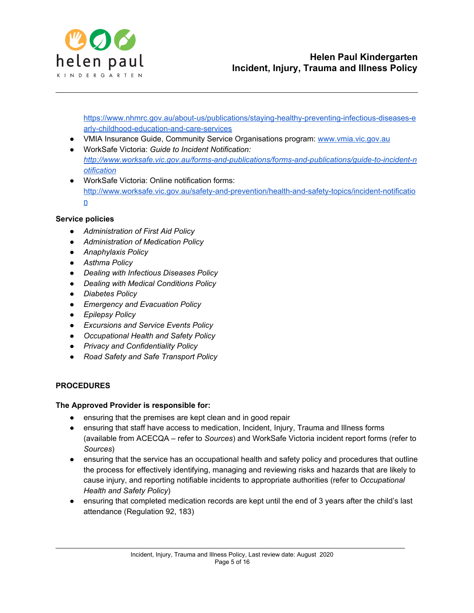

[https://www.nhmrc.gov.au/about-us/publications/staying-healthy-preventing-infectious-diseases-e](https://www.nhmrc.gov.au/about-us/publications/staying-healthy-preventing-infectious-diseases-early-childhood-education-and-care-services) [arly-childhood-education-and-care-services](https://www.nhmrc.gov.au/about-us/publications/staying-healthy-preventing-infectious-diseases-early-childhood-education-and-care-services)

- VMIA Insurance Guide, Community Service Organisations program: [www.vmia.vic.gov.au](http://www.vmia.vic.gov.au/)
- WorkSafe Victoria: *Guide to Incident Notification[:](http://www.worksafe.vic.gov.au/forms-and-publications/forms-and-publications/guide-to-incident-notification) [http://www.worksafe.vic.gov.au/forms-and-publications/forms-and-publications/guide-to-incident-n](http://www.worksafe.vic.gov.au/forms-and-publications/forms-and-publications/guide-to-incident-notification) [otification](http://www.worksafe.vic.gov.au/forms-and-publications/forms-and-publications/guide-to-incident-notification)*
- WorkSafe Victoria: Online notification forms: [http://www.worksafe.vic.gov.au/safety-and-prevention/health-and-safety-topics/incident-notificatio](http://www.worksafe.vic.gov.au/safety-and-prevention/health-and-safety-topics/incident-notification) [n](http://www.worksafe.vic.gov.au/safety-and-prevention/health-and-safety-topics/incident-notification)

### **Service policies**

- *● Administration of First Aid Policy*
- *● Administration of Medication Policy*
- *● Anaphylaxis Policy*
- *● Asthma Policy*
- *● Dealing with Infectious Diseases Policy*
- *● Dealing with Medical Conditions Policy*
- *● Diabetes Policy*
- *● Emergency and Evacuation Policy*
- *● Epilepsy Policy*
- *● Excursions and Service Events Policy*
- *● Occupational Health and Safety Policy*
- *● Privacy and Confidentiality Policy*
- *● Road Safety and Safe Transport Policy*

#### **PROCEDURES**

#### **The Approved Provider is responsible for:**

- ensuring that the premises are kept clean and in good repair
- ensuring that staff have access to medication, Incident, Injury, Trauma and Illness forms (available from ACECQA – refer to *Sources*) and WorkSafe Victoria incident report forms (refer to *Sources*)
- ensuring that the service has an occupational health and safety policy and procedures that outline the process for effectively identifying, managing and reviewing risks and hazards that are likely to cause injury, and reporting notifiable incidents to appropriate authorities (refer to *Occupational Health and Safety Policy*)
- ensuring that completed medication records are kept until the end of 3 years after the child's last attendance (Regulation 92, 183)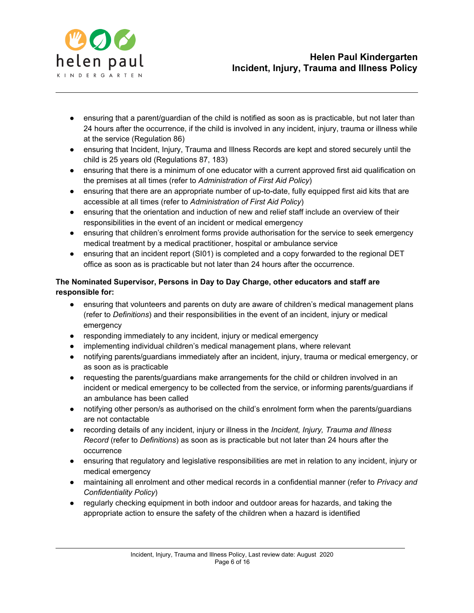

- ensuring that a parent/guardian of the child is notified as soon as is practicable, but not later than 24 hours after the occurrence, if the child is involved in any incident, injury, trauma or illness while at the service (Regulation 86)
- ensuring that Incident, Injury, Trauma and Illness Records are kept and stored securely until the child is 25 years old (Regulations 87, 183)
- ensuring that there is a minimum of one educator with a current approved first aid qualification on the premises at all times (refer to *Administration of First Aid Policy*)
- ensuring that there are an appropriate number of up-to-date, fully equipped first aid kits that are accessible at all times (refer to *Administration of First Aid Policy*)
- ensuring that the orientation and induction of new and relief staff include an overview of their responsibilities in the event of an incident or medical emergency
- ensuring that children's enrolment forms provide authorisation for the service to seek emergency medical treatment by a medical practitioner, hospital or ambulance service
- ensuring that an incident report (SI01) is completed and a copy forwarded to the regional DET office as soon as is practicable but not later than 24 hours after the occurrence.

# **The Nominated Supervisor, Persons in Day to Day Charge, other educators and staff are responsible for:**

- ensuring that volunteers and parents on duty are aware of children's medical management plans (refer to *Definitions*) and their responsibilities in the event of an incident, injury or medical emergency
- responding immediately to any incident, injury or medical emergency
- implementing individual children's medical management plans, where relevant
- notifying parents/guardians immediately after an incident, injury, trauma or medical emergency, or as soon as is practicable
- requesting the parents/guardians make arrangements for the child or children involved in an incident or medical emergency to be collected from the service, or informing parents/guardians if an ambulance has been called
- notifying other person/s as authorised on the child's enrolment form when the parents/guardians are not contactable
- recording details of any incident, injury or illness in the *Incident, Injury, Trauma and Illness Record* (refer to *Definitions*) as soon as is practicable but not later than 24 hours after the occurrence
- ensuring that regulatory and legislative responsibilities are met in relation to any incident, injury or medical emergency
- maintaining all enrolment and other medical records in a confidential manner (refer to *Privacy and Confidentiality Policy*)
- regularly checking equipment in both indoor and outdoor areas for hazards, and taking the appropriate action to ensure the safety of the children when a hazard is identified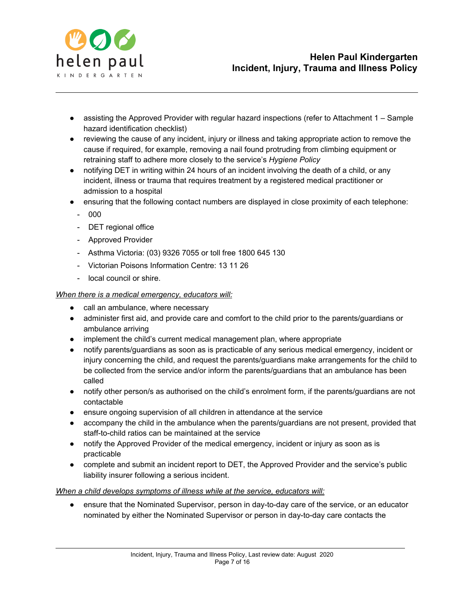

- assisting the Approved Provider with regular hazard inspections (refer to Attachment 1 Sample hazard identification checklist)
- reviewing the cause of any incident, injury or illness and taking appropriate action to remove the cause if required, for example, removing a nail found protruding from climbing equipment or retraining staff to adhere more closely to the service's *Hygiene Policy*
- notifying DET in writing within 24 hours of an incident involving the death of a child, or any incident, illness or trauma that requires treatment by a registered medical practitioner or admission to a hospital
- ensuring that the following contact numbers are displayed in close proximity of each telephone:
	- 000
	- DET regional office
	- Approved Provider
	- Asthma Victoria: (03) 9326 7055 or toll free 1800 645 130
	- Victorian Poisons Information Centre: 13 11 26
	- local council or shire.

#### *When there is a medical emergency, educators will:*

- call an ambulance, where necessary
- administer first aid, and provide care and comfort to the child prior to the parents/guardians or ambulance arriving
- implement the child's current medical management plan, where appropriate
- notify parents/guardians as soon as is practicable of any serious medical emergency, incident or injury concerning the child, and request the parents/guardians make arrangements for the child to be collected from the service and/or inform the parents/guardians that an ambulance has been called
- notify other person/s as authorised on the child's enrolment form, if the parents/guardians are not contactable
- ensure ongoing supervision of all children in attendance at the service
- accompany the child in the ambulance when the parents/guardians are not present, provided that staff-to-child ratios can be maintained at the service
- notify the Approved Provider of the medical emergency, incident or injury as soon as is practicable
- complete and submit an incident report to DET, the Approved Provider and the service's public liability insurer following a serious incident.

#### *When a child develops symptoms of illness while at the service, educators will:*

● ensure that the Nominated Supervisor, person in day-to-day care of the service, or an educator nominated by either the Nominated Supervisor or person in day-to-day care contacts the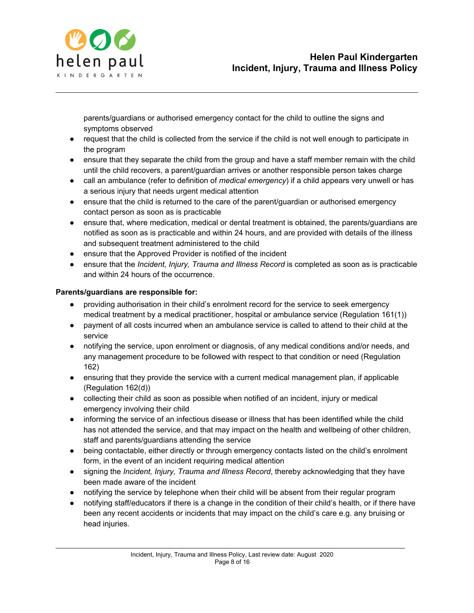

parents/guardians or authorised emergency contact for the child to outline the signs and symptoms observed

- request that the child is collected from the service if the child is not well enough to participate in the program
- ensure that they separate the child from the group and have a staff member remain with the child until the child recovers, a parent/guardian arrives or another responsible person takes charge
- call an ambulance (refer to definition of *medical emergency*) if a child appears very unwell or has a serious injury that needs urgent medical attention
- ensure that the child is returned to the care of the parent/guardian or authorised emergency contact person as soon as is practicable
- ensure that, where medication, medical or dental treatment is obtained, the parents/guardians are notified as soon as is practicable and within 24 hours, and are provided with details of the illness and subsequent treatment administered to the child
- ensure that the Approved Provider is notified of the incident
- ensure that the *Incident, Injury, Trauma and Illness Record* is completed as soon as is practicable and within 24 hours of the occurrence.

# **Parents/guardians are responsible for:**

- providing authorisation in their child's enrolment record for the service to seek emergency medical treatment by a medical practitioner, hospital or ambulance service (Regulation 161(1))
- payment of all costs incurred when an ambulance service is called to attend to their child at the service
- notifying the service, upon enrolment or diagnosis, of any medical conditions and/or needs, and any management procedure to be followed with respect to that condition or need (Regulation 162)
- ensuring that they provide the service with a current medical management plan, if applicable (Regulation 162(d))
- collecting their child as soon as possible when notified of an incident, injury or medical emergency involving their child
- informing the service of an infectious disease or illness that has been identified while the child has not attended the service, and that may impact on the health and wellbeing of other children, staff and parents/guardians attending the service
- being contactable, either directly or through emergency contacts listed on the child's enrolment form, in the event of an incident requiring medical attention
- signing the *Incident, Injury, Trauma and Illness Record*, thereby acknowledging that they have been made aware of the incident
- notifying the service by telephone when their child will be absent from their regular program
- notifying staff/educators if there is a change in the condition of their child's health, or if there have been any recent accidents or incidents that may impact on the child's care e.g. any bruising or head injuries.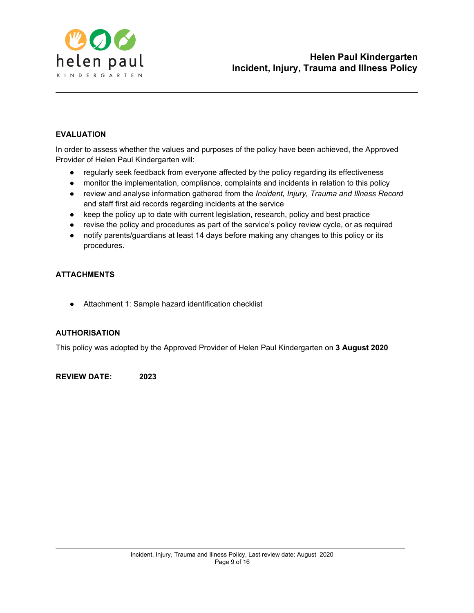

### **EVALUATION**

In order to assess whether the values and purposes of the policy have been achieved, the Approved Provider of Helen Paul Kindergarten will:

- regularly seek feedback from everyone affected by the policy regarding its effectiveness
- monitor the implementation, compliance, complaints and incidents in relation to this policy
- review and analyse information gathered from the *Incident, Injury, Trauma and Illness Record* and staff first aid records regarding incidents at the service
- keep the policy up to date with current legislation, research, policy and best practice
- revise the policy and procedures as part of the service's policy review cycle, or as required
- notify parents/guardians at least 14 days before making any changes to this policy or its procedures.

### **ATTACHMENTS**

● Attachment 1: Sample hazard identification checklist

#### **AUTHORISATION**

This policy was adopted by the Approved Provider of Helen Paul Kindergarten on **3 August 2020**

**REVIEW DATE: 2023**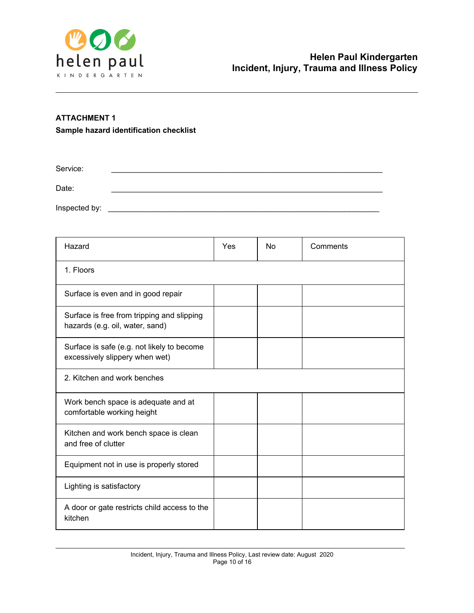

# **ATTACHMENT 1 Sample hazard identification checklist**

Service: \_\_\_\_\_\_\_\_\_\_\_\_\_\_\_\_\_\_\_\_\_\_\_\_\_\_\_\_\_\_\_\_\_\_\_\_\_\_\_\_\_\_\_\_\_\_\_\_\_\_\_\_\_\_\_\_\_\_\_\_\_\_\_ Date: \_\_\_\_\_\_\_\_\_\_\_\_\_\_\_\_\_\_\_\_\_\_\_\_\_\_\_\_\_\_\_\_\_\_\_\_\_\_\_\_\_\_\_\_\_\_\_\_\_\_\_\_\_\_\_\_\_\_\_\_\_\_\_ Inspected by: \_\_\_\_\_\_\_\_\_\_\_\_\_\_\_\_\_\_\_\_\_\_\_\_\_\_\_\_\_\_\_\_\_\_\_\_\_\_\_\_\_\_\_\_\_\_\_\_\_\_\_\_\_\_\_\_\_\_\_\_\_\_\_

| Hazard                                                                        | Yes | <b>No</b> | Comments |  |
|-------------------------------------------------------------------------------|-----|-----------|----------|--|
| 1. Floors                                                                     |     |           |          |  |
| Surface is even and in good repair                                            |     |           |          |  |
| Surface is free from tripping and slipping<br>hazards (e.g. oil, water, sand) |     |           |          |  |
| Surface is safe (e.g. not likely to become<br>excessively slippery when wet)  |     |           |          |  |
| 2. Kitchen and work benches                                                   |     |           |          |  |
| Work bench space is adequate and at<br>comfortable working height             |     |           |          |  |
| Kitchen and work bench space is clean<br>and free of clutter                  |     |           |          |  |
| Equipment not in use is properly stored                                       |     |           |          |  |
| Lighting is satisfactory                                                      |     |           |          |  |
| A door or gate restricts child access to the<br>kitchen                       |     |           |          |  |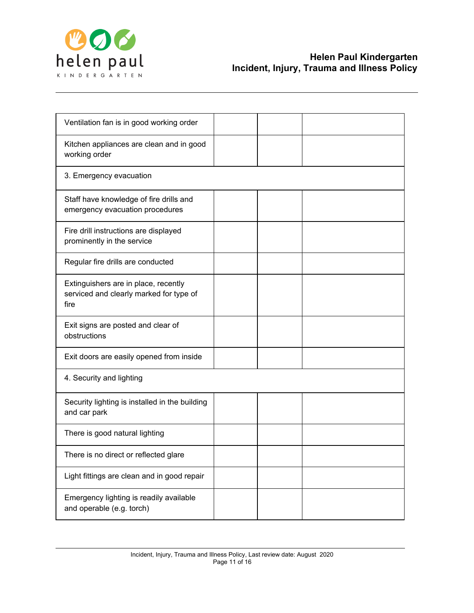

| Ventilation fan is in good working order                                                |  |  |
|-----------------------------------------------------------------------------------------|--|--|
| Kitchen appliances are clean and in good<br>working order                               |  |  |
| 3. Emergency evacuation                                                                 |  |  |
| Staff have knowledge of fire drills and<br>emergency evacuation procedures              |  |  |
| Fire drill instructions are displayed<br>prominently in the service                     |  |  |
| Regular fire drills are conducted                                                       |  |  |
| Extinguishers are in place, recently<br>serviced and clearly marked for type of<br>fire |  |  |
| Exit signs are posted and clear of<br>obstructions                                      |  |  |
| Exit doors are easily opened from inside                                                |  |  |
| 4. Security and lighting                                                                |  |  |
| Security lighting is installed in the building<br>and car park                          |  |  |
| There is good natural lighting                                                          |  |  |
| There is no direct or reflected glare                                                   |  |  |
| Light fittings are clean and in good repair                                             |  |  |
| Emergency lighting is readily available<br>and operable (e.g. torch)                    |  |  |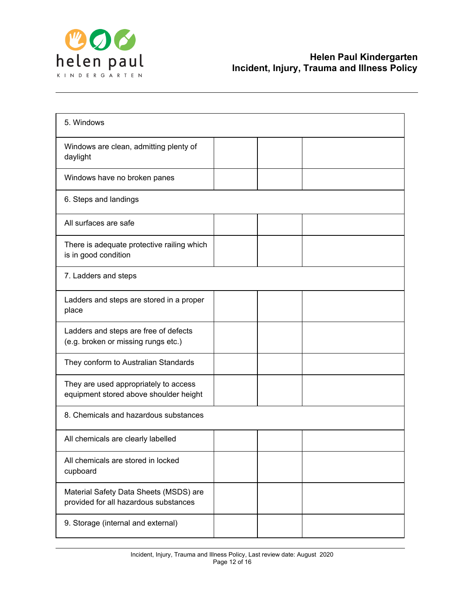

| 5. Windows                                                                      |  |  |
|---------------------------------------------------------------------------------|--|--|
| Windows are clean, admitting plenty of<br>daylight                              |  |  |
| Windows have no broken panes                                                    |  |  |
| 6. Steps and landings                                                           |  |  |
| All surfaces are safe                                                           |  |  |
| There is adequate protective railing which<br>is in good condition              |  |  |
| 7. Ladders and steps                                                            |  |  |
| Ladders and steps are stored in a proper<br>place                               |  |  |
| Ladders and steps are free of defects<br>(e.g. broken or missing rungs etc.)    |  |  |
| They conform to Australian Standards                                            |  |  |
| They are used appropriately to access<br>equipment stored above shoulder height |  |  |
| 8. Chemicals and hazardous substances                                           |  |  |
| All chemicals are clearly labelled                                              |  |  |
| All chemicals are stored in locked<br>cupboard                                  |  |  |
| Material Safety Data Sheets (MSDS) are<br>provided for all hazardous substances |  |  |
| 9. Storage (internal and external)                                              |  |  |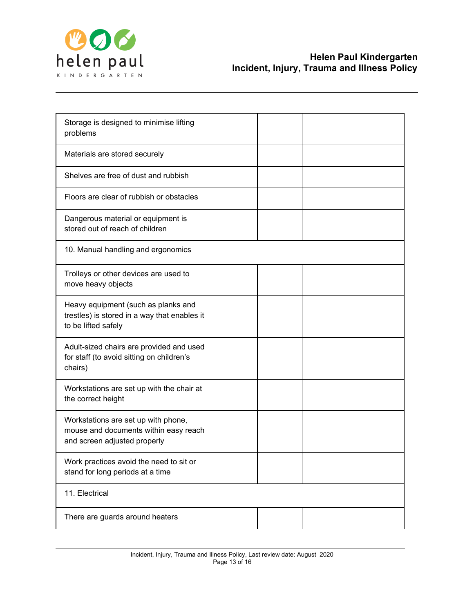

| Storage is designed to minimise lifting<br>problems                                                          |  |  |
|--------------------------------------------------------------------------------------------------------------|--|--|
| Materials are stored securely                                                                                |  |  |
| Shelves are free of dust and rubbish                                                                         |  |  |
| Floors are clear of rubbish or obstacles                                                                     |  |  |
| Dangerous material or equipment is<br>stored out of reach of children                                        |  |  |
| 10. Manual handling and ergonomics                                                                           |  |  |
| Trolleys or other devices are used to<br>move heavy objects                                                  |  |  |
| Heavy equipment (such as planks and<br>trestles) is stored in a way that enables it<br>to be lifted safely   |  |  |
| Adult-sized chairs are provided and used<br>for staff (to avoid sitting on children's<br>chairs)             |  |  |
| Workstations are set up with the chair at<br>the correct height                                              |  |  |
| Workstations are set up with phone,<br>mouse and documents within easy reach<br>and screen adjusted properly |  |  |
| Work practices avoid the need to sit or<br>stand for long periods at a time                                  |  |  |
| 11. Electrical                                                                                               |  |  |
| There are guards around heaters                                                                              |  |  |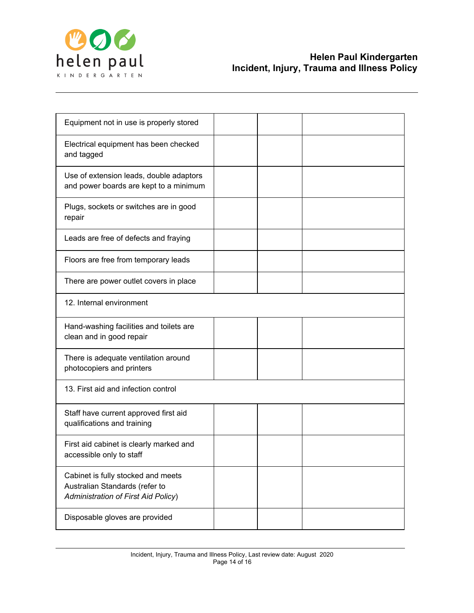

| Equipment not in use is properly stored                                                                            |  |  |
|--------------------------------------------------------------------------------------------------------------------|--|--|
| Electrical equipment has been checked<br>and tagged                                                                |  |  |
| Use of extension leads, double adaptors<br>and power boards are kept to a minimum                                  |  |  |
| Plugs, sockets or switches are in good<br>repair                                                                   |  |  |
| Leads are free of defects and fraying                                                                              |  |  |
| Floors are free from temporary leads                                                                               |  |  |
| There are power outlet covers in place                                                                             |  |  |
| 12. Internal environment                                                                                           |  |  |
| Hand-washing facilities and toilets are<br>clean and in good repair                                                |  |  |
| There is adequate ventilation around<br>photocopiers and printers                                                  |  |  |
| 13. First aid and infection control                                                                                |  |  |
| Staff have current approved first aid<br>qualifications and training                                               |  |  |
| First aid cabinet is clearly marked and<br>accessible only to staff                                                |  |  |
| Cabinet is fully stocked and meets<br>Australian Standards (refer to<br><b>Administration of First Aid Policy)</b> |  |  |
| Disposable gloves are provided                                                                                     |  |  |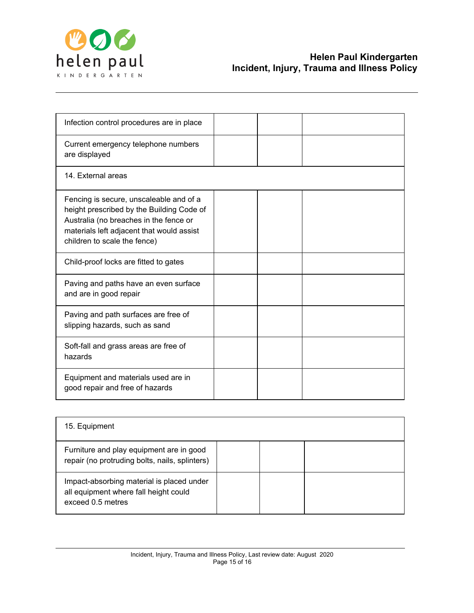

| Infection control procedures are in place                                                                                                                                                                   |  |  |
|-------------------------------------------------------------------------------------------------------------------------------------------------------------------------------------------------------------|--|--|
| Current emergency telephone numbers<br>are displayed                                                                                                                                                        |  |  |
| 14. External areas                                                                                                                                                                                          |  |  |
| Fencing is secure, unscaleable and of a<br>height prescribed by the Building Code of<br>Australia (no breaches in the fence or<br>materials left adjacent that would assist<br>children to scale the fence) |  |  |
| Child-proof locks are fitted to gates                                                                                                                                                                       |  |  |
| Paving and paths have an even surface<br>and are in good repair                                                                                                                                             |  |  |
| Paving and path surfaces are free of<br>slipping hazards, such as sand                                                                                                                                      |  |  |
| Soft-fall and grass areas are free of<br>hazards                                                                                                                                                            |  |  |
| Equipment and materials used are in<br>good repair and free of hazards                                                                                                                                      |  |  |

| 15. Equipment                                                                                           |  |  |
|---------------------------------------------------------------------------------------------------------|--|--|
| Furniture and play equipment are in good<br>repair (no protruding bolts, nails, splinters)              |  |  |
| Impact-absorbing material is placed under<br>all equipment where fall height could<br>exceed 0.5 metres |  |  |